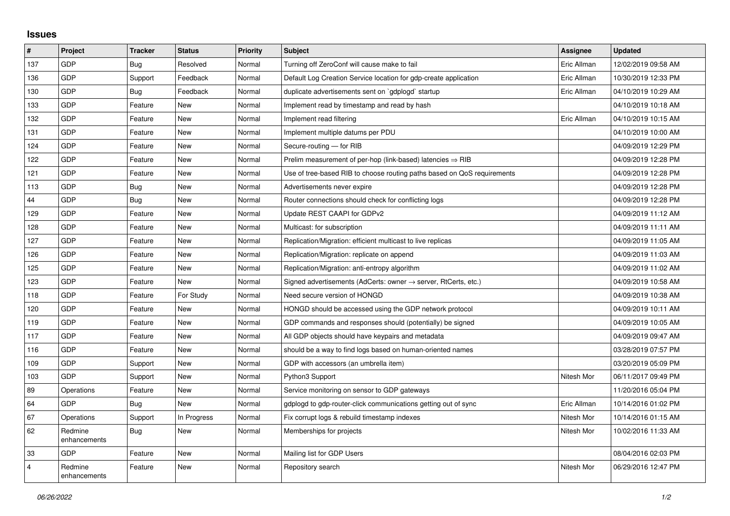## **Issues**

| $\sharp$       | Project                 | <b>Tracker</b> | <b>Status</b> | <b>Priority</b> | <b>Subject</b>                                                             | Assignee    | <b>Updated</b>      |
|----------------|-------------------------|----------------|---------------|-----------------|----------------------------------------------------------------------------|-------------|---------------------|
| 137            | <b>GDP</b>              | Bug            | Resolved      | Normal          | Turning off ZeroConf will cause make to fail                               | Eric Allman | 12/02/2019 09:58 AM |
| 136            | GDP                     | Support        | Feedback      | Normal          | Default Log Creation Service location for gdp-create application           | Eric Allman | 10/30/2019 12:33 PM |
| 130            | GDP                     | Bug            | Feedback      | Normal          | duplicate advertisements sent on `gdplogd` startup                         | Eric Allman | 04/10/2019 10:29 AM |
| 133            | <b>GDP</b>              | Feature        | <b>New</b>    | Normal          | Implement read by timestamp and read by hash                               |             | 04/10/2019 10:18 AM |
| 132            | <b>GDP</b>              | Feature        | <b>New</b>    | Normal          | Implement read filtering                                                   | Eric Allman | 04/10/2019 10:15 AM |
| 131            | GDP                     | Feature        | <b>New</b>    | Normal          | Implement multiple datums per PDU                                          |             | 04/10/2019 10:00 AM |
| 124            | GDP                     | Feature        | <b>New</b>    | Normal          | Secure-routing - for RIB                                                   |             | 04/09/2019 12:29 PM |
| 122            | <b>GDP</b>              | Feature        | <b>New</b>    | Normal          | Prelim measurement of per-hop (link-based) latencies $\Rightarrow$ RIB     |             | 04/09/2019 12:28 PM |
| 121            | GDP                     | Feature        | <b>New</b>    | Normal          | Use of tree-based RIB to choose routing paths based on QoS requirements    |             | 04/09/2019 12:28 PM |
| 113            | GDP                     | Bug            | <b>New</b>    | Normal          | Advertisements never expire                                                |             | 04/09/2019 12:28 PM |
| 44             | <b>GDP</b>              | Bug            | <b>New</b>    | Normal          | Router connections should check for conflicting logs                       |             | 04/09/2019 12:28 PM |
| 129            | GDP                     | Feature        | <b>New</b>    | Normal          | Update REST CAAPI for GDPv2                                                |             | 04/09/2019 11:12 AM |
| 128            | <b>GDP</b>              | Feature        | <b>New</b>    | Normal          | Multicast: for subscription                                                |             | 04/09/2019 11:11 AM |
| 127            | <b>GDP</b>              | Feature        | <b>New</b>    | Normal          | Replication/Migration: efficient multicast to live replicas                |             | 04/09/2019 11:05 AM |
| 126            | GDP                     | Feature        | <b>New</b>    | Normal          | Replication/Migration: replicate on append                                 |             | 04/09/2019 11:03 AM |
| 125            | <b>GDP</b>              | Feature        | <b>New</b>    | Normal          | Replication/Migration: anti-entropy algorithm                              |             | 04/09/2019 11:02 AM |
| 123            | <b>GDP</b>              | Feature        | <b>New</b>    | Normal          | Signed advertisements (AdCerts: owner $\rightarrow$ server, RtCerts, etc.) |             | 04/09/2019 10:58 AM |
| 118            | GDP                     | Feature        | For Study     | Normal          | Need secure version of HONGD                                               |             | 04/09/2019 10:38 AM |
| 120            | GDP                     | Feature        | <b>New</b>    | Normal          | HONGD should be accessed using the GDP network protocol                    |             | 04/09/2019 10:11 AM |
| 119            | <b>GDP</b>              | Feature        | <b>New</b>    | Normal          | GDP commands and responses should (potentially) be signed                  |             | 04/09/2019 10:05 AM |
| 117            | GDP                     | Feature        | <b>New</b>    | Normal          | All GDP objects should have keypairs and metadata                          |             | 04/09/2019 09:47 AM |
| 116            | <b>GDP</b>              | Feature        | <b>New</b>    | Normal          | should be a way to find logs based on human-oriented names                 |             | 03/28/2019 07:57 PM |
| 109            | <b>GDP</b>              | Support        | <b>New</b>    | Normal          | GDP with accessors (an umbrella item)                                      |             | 03/20/2019 05:09 PM |
| 103            | <b>GDP</b>              | Support        | <b>New</b>    | Normal          | Python3 Support                                                            | Nitesh Mor  | 06/11/2017 09:49 PM |
| 89             | Operations              | Feature        | <b>New</b>    | Normal          | Service monitoring on sensor to GDP gateways                               |             | 11/20/2016 05:04 PM |
| 64             | <b>GDP</b>              | Bug            | <b>New</b>    | Normal          | gdplogd to gdp-router-click communications getting out of sync             | Eric Allman | 10/14/2016 01:02 PM |
| 67             | Operations              | Support        | In Progress   | Normal          | Fix corrupt logs & rebuild timestamp indexes                               | Nitesh Mor  | 10/14/2016 01:15 AM |
| 62             | Redmine<br>enhancements | Bug            | <b>New</b>    | Normal          | Memberships for projects                                                   | Nitesh Mor  | 10/02/2016 11:33 AM |
| 33             | <b>GDP</b>              | Feature        | <b>New</b>    | Normal          | Mailing list for GDP Users                                                 |             | 08/04/2016 02:03 PM |
| $\overline{4}$ | Redmine<br>enhancements | Feature        | <b>New</b>    | Normal          | Repository search                                                          | Nitesh Mor  | 06/29/2016 12:47 PM |